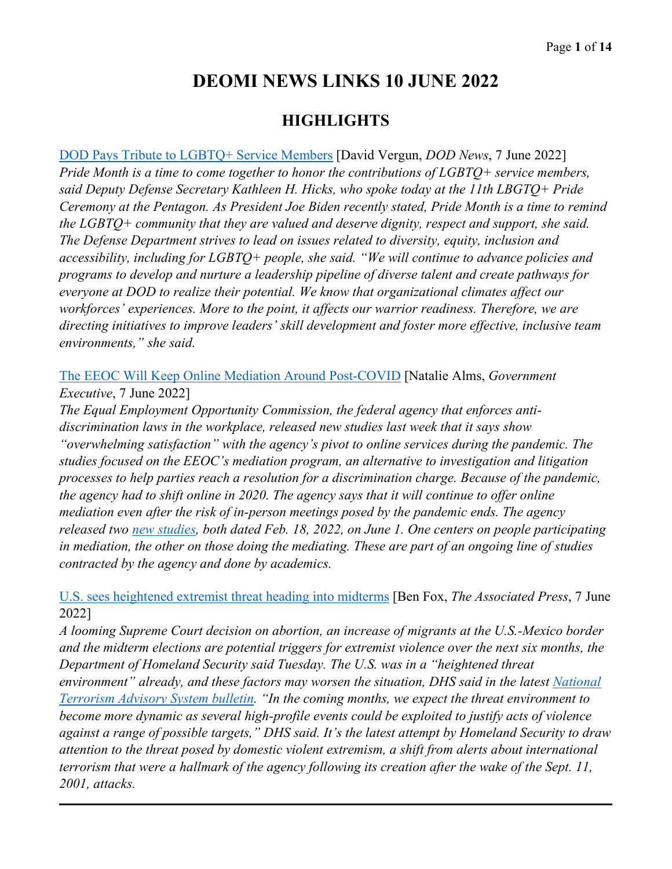# **DEOMI NEWS LINKS 10 JUNE 2022**

## **HIGHLIGHTS**

[DOD Pays Tribute to LGBTQ+ Service Members](https://www.defense.gov/News/News-Stories/Article/Article/3055525/dod-pays-tribute-to-lgbtq-service-members/) [David Vergun, *DOD News*, 7 June 2022] *Pride Month is a time to come together to honor the contributions of LGBTQ+ service members, said Deputy Defense Secretary Kathleen H. Hicks, who spoke today at the 11th LBGTQ+ Pride Ceremony at the Pentagon. As President Joe Biden recently stated, Pride Month is a time to remind the LGBTQ+ community that they are valued and deserve dignity, respect and support, she said. The Defense Department strives to lead on issues related to diversity, equity, inclusion and accessibility, including for LGBTQ+ people, she said. "We will continue to advance policies and programs to develop and nurture a leadership pipeline of diverse talent and create pathways for everyone at DOD to realize their potential. We know that organizational climates affect our workforces' experiences. More to the point, it affects our warrior readiness. Therefore, we are directing initiatives to improve leaders' skill development and foster more effective, inclusive team environments," she said.*

[The EEOC Will Keep Online Mediation Around Post-COVID](https://www.govexec.com/workforce/2022/06/eeoc-will-keep-online-mediation-around-post-covid/367852/) [Natalie Alms, *Government Executive*, 7 June 2022]

*The Equal Employment Opportunity Commission, the federal agency that enforces antidiscrimination laws in the workplace, released new studies last week that it says show "overwhelming satisfaction" with the agency's pivot to online services during the pandemic. The studies focused on the EEOC's mediation program, an alternative to investigation and litigation processes to help parties reach a resolution for a discrimination charge. Because of the pandemic, the agency had to shift online in 2020. The agency says that it will continue to offer online mediation even after the risk of in-person meetings posed by the pandemic ends. The agency released two [new studies,](https://www.eeoc.gov/studies-mediation-program) both dated Feb. 18, 2022, on June 1. One centers on people participating in mediation, the other on those doing the mediating. These are part of an ongoing line of studies contracted by the agency and done by academics.* 

[U.S. sees heightened extremist threat heading into midterms](https://apnews.com/article/2022-midterm-elections-covid-health-mexico-f0db5be3931d14a5cd5da3bdc200e930) [Ben Fox, *The Associated Press*, 7 June 2022]

*A looming Supreme Court decision on abortion, an increase of migrants at the U.S.-Mexico border and the midterm elections are potential triggers for extremist violence over the next six months, the Department of Homeland Security said Tuesday. The U.S. was in a "heightened threat environment" already, and these factors may worsen the situation, DHS said in the latest National [Terrorism Advisory System bulletin.](https://www.dhs.gov/news/2022/06/07/dhs-issues-national-terrorism-advisory-system-ntas-bulletin) "In the coming months, we expect the threat environment to become more dynamic as several high-profile events could be exploited to justify acts of violence against a range of possible targets," DHS said. It's the latest attempt by Homeland Security to draw attention to the threat posed by domestic violent extremism, a shift from alerts about international terrorism that were a hallmark of the agency following its creation after the wake of the Sept. 11, 2001, attacks.*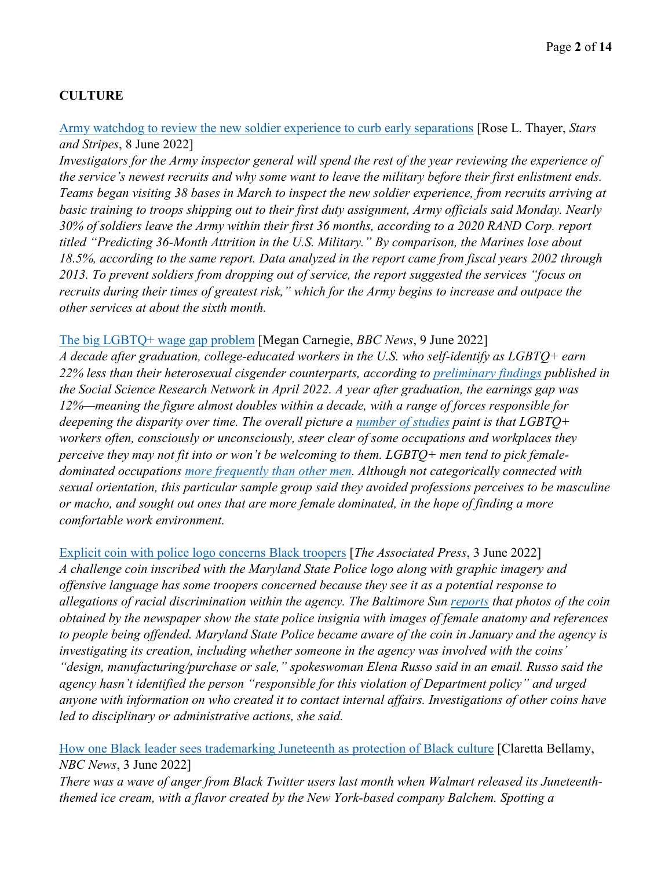#### **CULTURE**

[Army watchdog to review the new soldier experience to curb early separations](https://www.stripes.com/branches/army/2022-06-08/army-recruits-inspections-soldiers-separations-6274605.html) [Rose L. Thayer, *Stars and Stripes*, 8 June 2022]

*Investigators for the Army inspector general will spend the rest of the year reviewing the experience of the service's newest recruits and why some want to leave the military before their first enlistment ends. Teams began visiting 38 bases in March to inspect the new soldier experience, from recruits arriving at basic training to troops shipping out to their first duty assignment, Army officials said Monday. Nearly 30% of soldiers leave the Army within their first 36 months, according to a 2020 RAND Corp. report titled "Predicting 36-Month Attrition in the U.S. Military." By comparison, the Marines lose about 18.5%, according to the same report. Data analyzed in the report came from fiscal years 2002 through 2013. To prevent soldiers from dropping out of service, the report suggested the services "focus on recruits during their times of greatest risk," which for the Army begins to increase and outpace the other services at about the sixth month.* 

#### [The big LGBTQ+ wage gap problem](https://www.bbc.com/worklife/article/20220603-the-big-lgbtq-wage-gap-problem) [Megan Carnegie, *BBC News*, 9 June 2022]

*A decade after graduation, college-educated workers in the U.S. who self-identify as LGBTQ+ earn 22% less than their heterosexual cisgender counterparts, according to [preliminary findings](https://papers.ssrn.com/sol3/papers.cfm?abstract_id=4072893) published in the Social Science Research Network in April 2022. A year after graduation, the earnings gap was 12%—meaning the figure almost doubles within a decade, with a range of forces responsible for deepening the disparity over time. The overall picture a <u>number of studies</u> paint is that LGBTQ+ workers often, consciously or unconsciously, steer clear of some occupations and workplaces they perceive they may not fit into or won't be welcoming to them. LGBTQ+ men tend to pick femaledominated occupations [more frequently than other men.](https://journals.sagepub.com/doi/abs/10.2304/eerj.2010.9.2.177) Although not categorically connected with sexual orientation, this particular sample group said they avoided professions perceives to be masculine or macho, and sought out ones that are more female dominated, in the hope of finding a more comfortable work environment.* 

[Explicit coin with police logo concerns Black troopers](https://apnews.com/article/maryland-baltimore-race-and-ethnicity-racial-injustice-discrimination-1043a539a3f204fde493fcc01e5f72bb) [*The Associated Press*, 3 June 2022] *A challenge coin inscribed with the Maryland State Police logo along with graphic imagery and offensive language has some troopers concerned because they see it as a potential response to allegations of racial discrimination within the agency. The Baltimore Sun [reports](https://www.baltimoresun.com/news/crime/bs-md-cr-maryland-state-police-challenge-coin-black-troopers-20220602-yqv4ubjz6zanhbh7znurogrbnu-story.html) that photos of the coin obtained by the newspaper show the state police insignia with images of female anatomy and references to people being offended. Maryland State Police became aware of the coin in January and the agency is investigating its creation, including whether someone in the agency was involved with the coins' "design, manufacturing/purchase or sale," spokeswoman Elena Russo said in an email. Russo said the agency hasn't identified the person "responsible for this violation of Department policy" and urged anyone with information on who created it to contact internal affairs. Investigations of other coins have led to disciplinary or administrative actions, she said.* 

[How one Black leader sees trademarking Juneteenth as protection of Black culture](https://www.nbcnews.com/news/nbcblk/one-black-leader-sees-trademarking-juneteenth-protection-black-culture-rcna31749) [Claretta Bellamy, *NBC News*, 3 June 2022]

*There was a wave of anger from Black Twitter users last month when Walmart released its Juneteenththemed ice cream, with a flavor created by the New York-based company Balchem. Spotting a*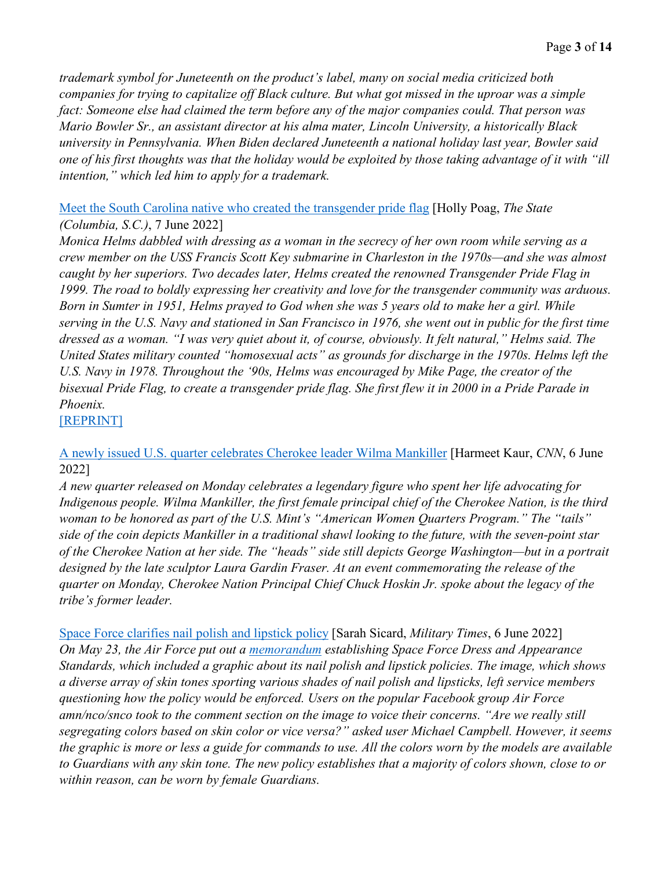*trademark symbol for Juneteenth on the product's label, many on social media criticized both companies for trying to capitalize off Black culture. But what got missed in the uproar was a simple fact: Someone else had claimed the term before any of the major companies could. That person was Mario Bowler Sr., an assistant director at his alma mater, Lincoln University, a historically Black university in Pennsylvania. When Biden declared Juneteenth a national holiday last year, Bowler said one of his first thoughts was that the holiday would be exploited by those taking advantage of it with "ill intention," which led him to apply for a trademark.* 

[Meet the South Carolina native who created the transgender pride flag](https://www.thestate.com/news/local/article262208002.html) [Holly Poag, *The State (Columbia, S.C.)*, 7 June 2022]

*Monica Helms dabbled with dressing as a woman in the secrecy of her own room while serving as a crew member on the USS Francis Scott Key submarine in Charleston in the 1970s—and she was almost caught by her superiors. Two decades later, Helms created the renowned Transgender Pride Flag in 1999. The road to boldly expressing her creativity and love for the transgender community was arduous. Born in Sumter in 1951, Helms prayed to God when she was 5 years old to make her a girl. While serving in the U.S. Navy and stationed in San Francisco in 1976, she went out in public for the first time dressed as a woman. "I was very quiet about it, of course, obviously. It felt natural," Helms said. The United States military counted "homosexual acts" as grounds for discharge in the 1970s. Helms left the U.S. Navy in 1978. Throughout the '90s, Helms was encouraged by Mike Page, the creator of the bisexual Pride Flag, to create a transgender pride flag. She first flew it in 2000 in a Pride Parade in Phoenix.* 

[\[REPRINT\]](https://www.stripes.com/veterans/2022-06-07/navy-veteran-transgender-pride-flag-6263398.html)

[A newly issued U.S. quarter celebrates Cherokee leader Wilma Mankiller](https://www.cnn.com/2022/06/06/us/wilma-mankiller-us-quarter-cherokee-chief-cec/index.html) [Harmeet Kaur, *CNN*, 6 June 2022]

*A new quarter released on Monday celebrates a legendary figure who spent her life advocating for Indigenous people. Wilma Mankiller, the first female principal chief of the Cherokee Nation, is the third woman to be honored as part of the U.S. Mint's "American Women Quarters Program." The "tails" side of the coin depicts Mankiller in a traditional shawl looking to the future, with the seven-point star of the Cherokee Nation at her side. The "heads" side still depicts George Washington—but in a portrait designed by the late sculptor Laura Gardin Fraser. At an event commemorating the release of the quarter on Monday, Cherokee Nation Principal Chief Chuck Hoskin Jr. spoke about the legacy of the tribe's former leader.*

[Space Force clarifies nail polish and lipstick policy](https://www.militarytimes.com/off-duty/military-culture/2022/06/06/space-force-clarifies-nail-polish-and-lipstick-policy/) [Sarah Sicard, *Military Times*, 6 June 2022] *On May 23, the Air Force put out a [memorandum](https://static.e-publishing.af.mil/production/1/ussf/publication/spfgm2022-36-01/spfgm2022-36-01.pdf) establishing Space Force Dress and Appearance Standards, which included a graphic about its nail polish and lipstick policies. The image, which shows a diverse array of skin tones sporting various shades of nail polish and lipsticks, left service members questioning how the policy would be enforced. Users on the popular Facebook group Air Force amn/nco/snco took to the comment section on the image to voice their concerns. "Are we really still segregating colors based on skin color or vice versa?" asked user Michael Campbell. However, it seems the graphic is more or less a guide for commands to use. All the colors worn by the models are available to Guardians with any skin tone. The new policy establishes that a majority of colors shown, close to or within reason, can be worn by female Guardians.*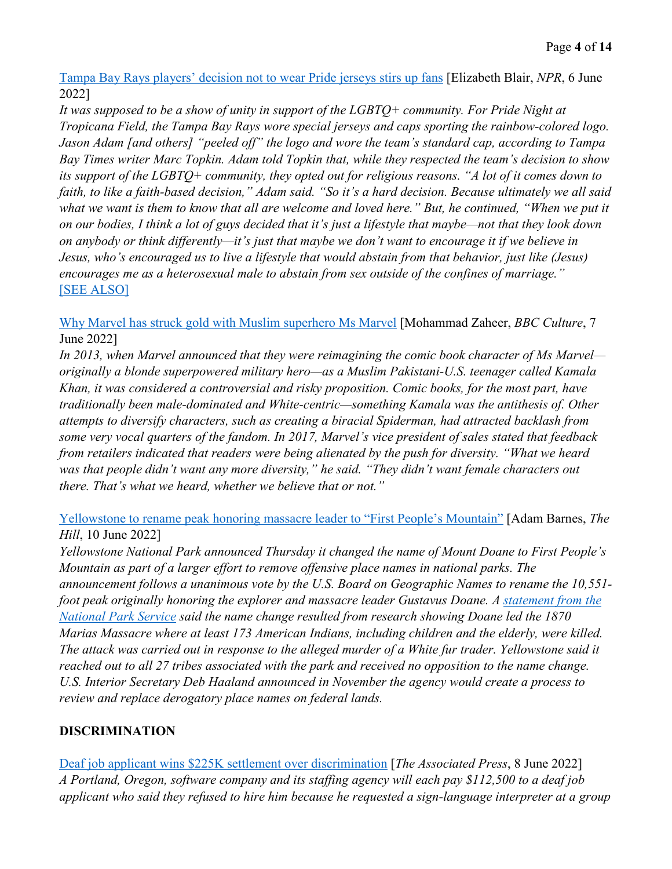[Tampa Bay Rays players' decision not to wear Pride jerseys stirs up fans](https://www.npr.org/2022/06/06/1103303679/tampa-bay-rays-rainbow-logo-pride-night) [Elizabeth Blair, *NPR*, 6 June 2022]

*It was supposed to be a show of unity in support of the LGBTQ+ community. For Pride Night at Tropicana Field, the Tampa Bay Rays wore special jerseys and caps sporting the rainbow-colored logo. Jason Adam [and others] "peeled off" the logo and wore the team's standard cap, according to Tampa Bay Times writer Marc Topkin. Adam told Topkin that, while they respected the team's decision to show its support of the LGBTQ+ community, they opted out for religious reasons. "A lot of it comes down to faith, to like a faith-based decision," Adam said. "So it's a hard decision. Because ultimately we all said*  what we want is them to know that all are welcome and loved here." But, he continued, "When we put it *on our bodies, I think a lot of guys decided that it's just a lifestyle that maybe—not that they look down on anybody or think differently—it's just that maybe we don't want to encourage it if we believe in Jesus, who's encouraged us to live a lifestyle that would abstain from that behavior, just like (Jesus) encourages me as a heterosexual male to abstain from sex outside of the confines of marriage."*  [\[SEE ALSO\]](https://www.usatoday.com/story/sports/mlb/2022/06/06/bryan-ruby-rays-players-pride-night-remarks-sad-and-infuriating/7529979001/?gnt-cfr=1)

[Why Marvel has struck gold with Muslim superhero Ms Marvel](https://www.bbc.com/culture/article/20220607-why-marvel-has-struck-gold-with-muslim-superhero-ms-marvel) [Mohammad Zaheer, *BBC Culture*, 7 June 2022]

*In 2013, when Marvel announced that they were reimagining the comic book character of Ms Marvel originally a blonde superpowered military hero—as a Muslim Pakistani-U.S. teenager called Kamala Khan, it was considered a controversial and risky proposition. Comic books, for the most part, have traditionally been male-dominated and White-centric—something Kamala was the antithesis of. Other attempts to diversify characters, such as creating a biracial Spiderman, had attracted backlash from some very vocal quarters of the fandom. In 2017, Marvel's vice president of sales stated that feedback from retailers indicated that readers were being alienated by the push for diversity. "What we heard was that people didn't want any more diversity," he said. "They didn't want female characters out there. That's what we heard, whether we believe that or not."* 

[Yellowstone to rename peak honoring massacre leader to "First People's Mountain"](https://thehill.com/changing-america/respect/equality/3518911-yellowstone-to-rename-peak-honoring-massacre-leader-to-first-peoples-mountain/) [Adam Barnes, *The Hill*, 10 June 2022]

*Yellowstone National Park announced Thursday it changed the name of Mount Doane to First People's Mountain as part of a larger effort to remove offensive place names in national parks. The announcement follows a unanimous vote by the U.S. Board on Geographic Names to rename the 10,551 foot peak originally honoring the explorer and massacre leader Gustavus Doane. A [statement from the](https://www.nps.gov/yell/learn/news/22022.htm)  [National Park Service](https://www.nps.gov/yell/learn/news/22022.htm) said the name change resulted from research showing Doane led the 1870 Marias Massacre where at least 173 American Indians, including children and the elderly, were killed. The attack was carried out in response to the alleged murder of a White fur trader. Yellowstone said it reached out to all 27 tribes associated with the park and received no opposition to the name change. U.S. Interior Secretary Deb Haaland announced in November the agency would create a process to review and replace derogatory place names on federal lands.* 

#### **DISCRIMINATION**

[Deaf job applicant wins \\$225K settlement over discrimination](https://apnews.com/article/technology-portland-oregon-business-discrimination-d56839e69da1c104aae7b63229fe9ec3) [*The Associated Press*, 8 June 2022] *A Portland, Oregon, software company and its staffing agency will each pay \$112,500 to a deaf job applicant who said they refused to hire him because he requested a sign-language interpreter at a group*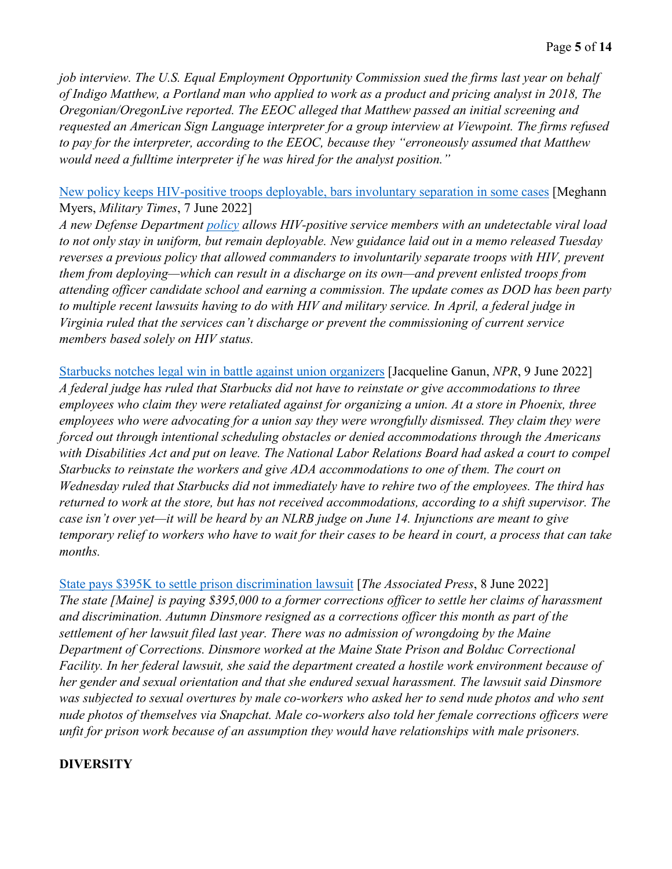*job interview. The U.S. Equal Employment Opportunity Commission sued the firms last year on behalf of Indigo Matthew, a Portland man who applied to work as a product and pricing analyst in 2018, The Oregonian/OregonLive reported. The EEOC alleged that Matthew passed an initial screening and requested an American Sign Language interpreter for a group interview at Viewpoint. The firms refused to pay for the interpreter, according to the EEOC, because they "erroneously assumed that Matthew would need a fulltime interpreter if he was hired for the analyst position."* 

#### [New policy keeps HIV-positive troops deployable, bars involuntary separation in some cases](https://www.militarytimes.com/news/pentagon-congress/2022/06/07/new-policy-keeps-hiv-positive-troops-deployable-bars-involuntary-separation-in-some-cases/) [Meghann Myers, *Military Times*, 7 June 2022]

*A new Defense Department [policy](https://media.defense.gov/2022/Jun/07/2003013398/-1/-1/1/POLICY-REGARDING-HUMAN-IMMUNODEFICIENCY-VIRUS-POSITIVE-PERSONNEL-WITHIN-THE-ARMED-FORCES.PDF) allows HIV-positive service members with an undetectable viral load to not only stay in uniform, but remain deployable. New guidance laid out in a memo released Tuesday reverses a previous policy that allowed commanders to involuntarily separate troops with HIV, prevent them from deploying—which can result in a discharge on its own—and prevent enlisted troops from attending officer candidate school and earning a commission. The update comes as DOD has been party to multiple recent lawsuits having to do with HIV and military service. In April, a federal judge in Virginia ruled that the services can't discharge or prevent the commissioning of current service members based solely on HIV status.* 

[Starbucks notches legal win in battle against union organizers](https://www.npr.org/2022/06/09/1103962739/starbucks-notches-legal-win-in-battle-against-union-organizers) [Jacqueline Ganun, *NPR*, 9 June 2022] *A federal judge has ruled that Starbucks did not have to reinstate or give accommodations to three employees who claim they were retaliated against for organizing a union. At a store in Phoenix, three employees who were advocating for a union say they were wrongfully dismissed. They claim they were forced out through intentional scheduling obstacles or denied accommodations through the Americans with Disabilities Act and put on leave. The National Labor Relations Board had asked a court to compel Starbucks to reinstate the workers and give ADA accommodations to one of them. The court on Wednesday ruled that Starbucks did not immediately have to rehire two of the employees. The third has returned to work at the store, but has not received accommodations, according to a shift supervisor. The case isn't over yet—it will be heard by an NLRB judge on June 14. Injunctions are meant to give temporary relief to workers who have to wait for their cases to be heard in court, a process that can take months.* 

[State pays \\$395K to settle prison discrimination lawsuit](https://apnews.com/article/maine-lawsuits-business-discrimination-04d07195e18b31f9750cb0fc7812d772) [*The Associated Press*, 8 June 2022] *The state [Maine] is paying \$395,000 to a former corrections officer to settle her claims of harassment and discrimination. Autumn Dinsmore resigned as a corrections officer this month as part of the settlement of her lawsuit filed last year. There was no admission of wrongdoing by the Maine Department of Corrections. Dinsmore worked at the Maine State Prison and Bolduc Correctional Facility. In her federal lawsuit, she said the department created a hostile work environment because of her gender and sexual orientation and that she endured sexual harassment. The lawsuit said Dinsmore was subjected to sexual overtures by male co-workers who asked her to send nude photos and who sent nude photos of themselves via Snapchat. Male co-workers also told her female corrections officers were unfit for prison work because of an assumption they would have relationships with male prisoners.* 

#### **DIVERSITY**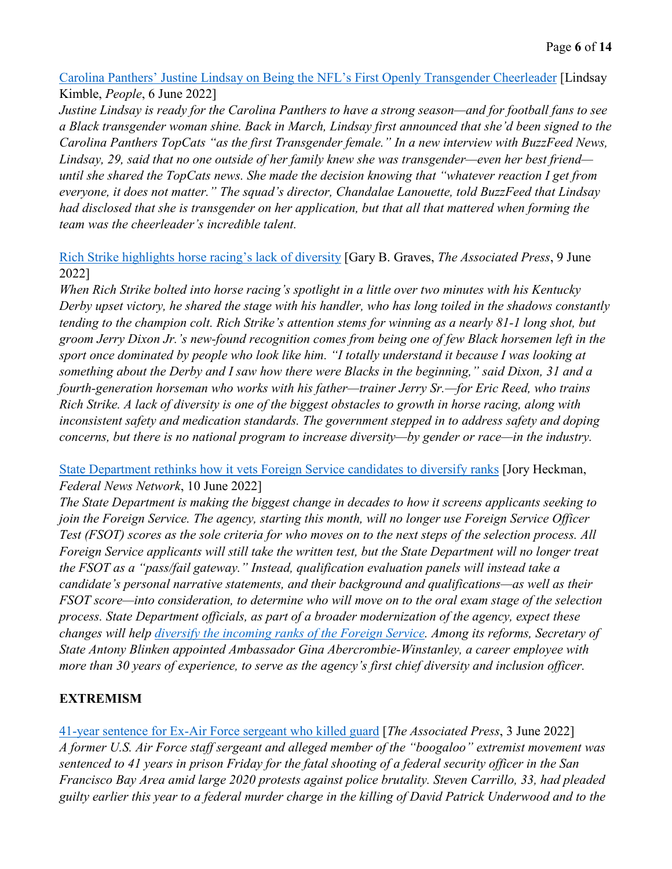[Carolina Panthers' Justine Lindsay on Being the NFL's First Openly Transgender Cheerleader](https://people.com/sports/carolina-panthers-sign-the-nfls-first-transgender-cheerleader-justine-lindsay/) [Lindsay Kimble, *People*, 6 June 2022]

*Justine Lindsay is ready for the Carolina Panthers to have a strong season—and for football fans to see a Black transgender woman shine. Back in March, Lindsay first announced that she'd been signed to the Carolina Panthers TopCats "as the first Transgender female." In a new interview with BuzzFeed News, Lindsay, 29, said that no one outside of her family knew she was transgender—even her best friend until she shared the TopCats news. She made the decision knowing that "whatever reaction I get from everyone, it does not matter." The squad's director, Chandalae Lanouette, told BuzzFeed that Lindsay had disclosed that she is transgender on her application, but that all that mattered when forming the team was the cheerleader's incredible talent.*

[Rich Strike highlights horse racing's lack of diversity](https://apnews.com/article/kentucky-derby-entertainment-sports-jerry-dixon-race-and-ethnicity-74b17361d55d8b72b7b66a3f48b8e235) [Gary B. Graves, *The Associated Press*, 9 June 2022]

*When Rich Strike bolted into horse racing's spotlight in a little over two minutes with his Kentucky Derby upset victory, he shared the stage with his handler, who has long toiled in the shadows constantly tending to the champion colt. Rich Strike's attention stems for winning as a nearly 81-1 long shot, but groom Jerry Dixon Jr.'s new-found recognition comes from being one of few Black horsemen left in the sport once dominated by people who look like him. "I totally understand it because I was looking at something about the Derby and I saw how there were Blacks in the beginning," said Dixon, 31 and a fourth-generation horseman who works with his father—trainer Jerry Sr.—for Eric Reed, who trains Rich Strike. A lack of diversity is one of the biggest obstacles to growth in horse racing, along with inconsistent safety and medication standards. The government stepped in to address safety and doping concerns, but there is no national program to increase diversity—by gender or race—in the industry.* 

#### [State Department rethinks how it vets Foreign Service candidates to diversify ranks](https://federalnewsnetwork.com/hiring-retention/2022/06/state-department-rethinks-its-foreign-service-hiring-but-what-comes-next/) [Jory Heckman, *Federal News Network*, 10 June 2022]

*The State Department is making the biggest change in decades to how it screens applicants seeking to join the Foreign Service. The agency, starting this month, will no longer use Foreign Service Officer Test (FSOT) scores as the sole criteria for who moves on to the next steps of the selection process. All Foreign Service applicants will still take the written test, but the State Department will no longer treat the FSOT as a "pass/fail gateway." Instead, qualification evaluation panels will instead take a candidate's personal narrative statements, and their background and qualifications—as well as their FSOT score—into consideration, to determine who will move on to the oral exam stage of the selection process. State Department officials, as part of a broader modernization of the agency, expect these changes will help [diversify the incoming ranks of the Foreign Service.](https://afsa.org/diversity-and-inclusion-us-foreign-service-primer) Among its reforms, Secretary of State Antony Blinken appointed Ambassador Gina Abercrombie-Winstanley, a career employee with more than 30 years of experience, to serve as the agency's first chief diversity and inclusion officer.* 

## **EXTREMISM**

[41-year sentence for Ex-Air Force sergeant who killed guard](https://apnews.com/article/us-air-force-san-francisco-oakland-police-government-and-politics-54ee0fa4316354d893b691c5f8d44023) [*The Associated Press*, 3 June 2022] *A former U.S. Air Force staff sergeant and alleged member of the "boogaloo" extremist movement was sentenced to 41 years in prison Friday for the fatal shooting of a federal security officer in the San Francisco Bay Area amid large 2020 protests against police brutality. Steven Carrillo, 33, had pleaded guilty earlier this year to a federal murder charge in the killing of David Patrick Underwood and to the*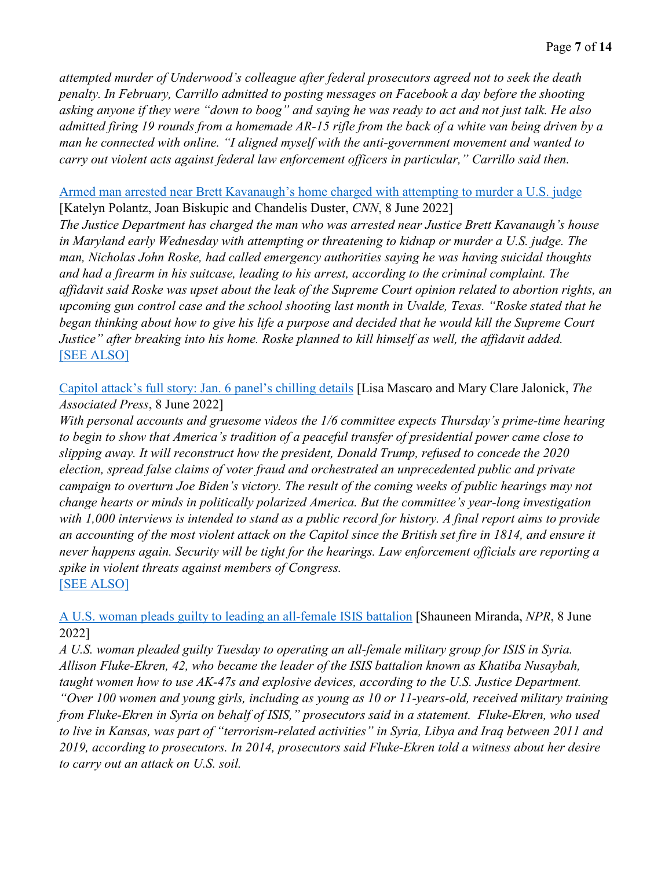*attempted murder of Underwood's colleague after federal prosecutors agreed not to seek the death penalty. In February, Carrillo admitted to posting messages on Facebook a day before the shooting asking anyone if they were "down to boog" and saying he was ready to act and not just talk. He also admitted firing 19 rounds from a homemade AR-15 rifle from the back of a white van being driven by a man he connected with online. "I aligned myself with the anti-government movement and wanted to carry out violent acts against federal law enforcement officers in particular," Carrillo said then.* 

#### [Armed man arrested near Brett Kavanaugh's home charged with attempting to murder a U.S. judge](https://www.cnn.com/2022/06/08/politics/man-arrested-near-brett-kavanaugh-home/index.html) [Katelyn Polantz, Joan Biskupic and Chandelis Duster, *CNN*, 8 June 2022]

*The Justice Department has charged the man who was arrested near Justice Brett Kavanaugh's house in Maryland early Wednesday with attempting or threatening to kidnap or murder a U.S. judge. The man, Nicholas John Roske, had called emergency authorities saying he was having suicidal thoughts and had a firearm in his suitcase, leading to his arrest, according to the criminal complaint. The affidavit said Roske was upset about the leak of the Supreme Court opinion related to abortion rights, an upcoming gun control case and the school shooting last month in Uvalde, Texas. "Roske stated that he began thinking about how to give his life a purpose and decided that he would kill the Supreme Court Justice" after breaking into his home. Roske planned to kill himself as well, the affidavit added.*  [\[SEE ALSO\]](https://www.cnn.com/2022/06/05/us/wisconsin-judge-killed-attack/index.html)

[Capitol attack's full story: Jan. 6 panel's chilling details](https://apnews.com/article/capitol-siege-ivanka-trump-congress-election-2020-democracy-ac041b3c74efef6a0f0ab9ff7f073ea2) [Lisa Mascaro and Mary Clare Jalonick, *The Associated Press*, 8 June 2022]

*With personal accounts and gruesome videos the 1/6 committee expects Thursday's prime-time hearing to begin to show that America's tradition of a peaceful transfer of presidential power came close to slipping away. It will reconstruct how the president, Donald Trump, refused to concede the 2020 election, spread false claims of voter fraud and orchestrated an unprecedented public and private campaign to overturn Joe Biden's victory. The result of the coming weeks of public hearings may not change hearts or minds in politically polarized America. But the committee's year-long investigation with 1,000 interviews is intended to stand as a public record for history. A final report aims to provide an accounting of the most violent attack on the Capitol since the British set fire in 1814, and ensure it never happens again. Security will be tight for the hearings. Law enforcement officials are reporting a spike in violent threats against members of Congress.*  [\[SEE ALSO\]](https://www.govexec.com/oversight/2022/06/what-5-previous-congressional-investigations-can-teach-us-about-house-jan-6-committee-hearings/367782/)

[A U.S. woman pleads guilty to leading an all-female ISIS battalion](https://www.npr.org/2022/06/08/1103664950/fluke-ekren-guilty-isis-female-battalion) [Shauneen Miranda, *NPR*, 8 June 2022]

*A U.S. woman pleaded guilty Tuesday to operating an all-female military group for ISIS in Syria. Allison Fluke-Ekren, 42, who became the leader of the ISIS battalion known as Khatiba Nusaybah, taught women how to use AK-47s and explosive devices, according to the U.S. Justice Department.* 

*"Over 100 women and young girls, including as young as 10 or 11-years-old, received military training from Fluke-Ekren in Syria on behalf of ISIS," prosecutors said in a statement. Fluke-Ekren, who used to live in Kansas, was part of "terrorism-related activities" in Syria, Libya and Iraq between 2011 and 2019, according to prosecutors. In 2014, prosecutors said Fluke-Ekren told a witness about her desire to carry out an attack on U.S. soil.*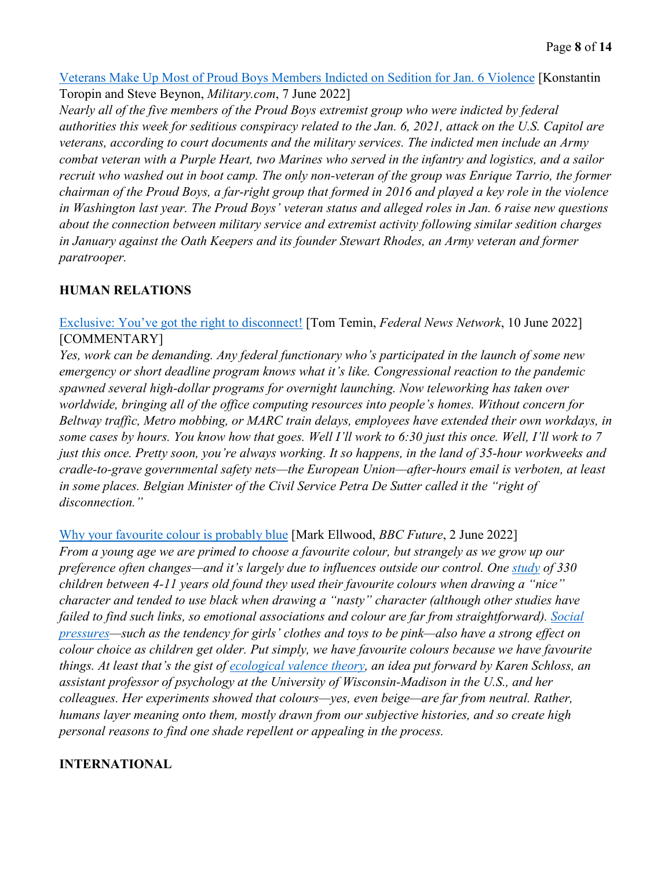#### [Veterans Make Up Most of Proud Boys Members Indicted on Sedition for Jan. 6 Violence](https://www.military.com/daily-news/2022/06/07/veterans-make-most-of-proud-boys-members-indicted-sedition-jan-6-violence.html) [Konstantin Toropin and Steve Beynon, *Military.com*, 7 June 2022]

*Nearly all of the five members of the Proud Boys extremist group who were indicted by federal authorities this week for seditious conspiracy related to the Jan. 6, 2021, attack on the U.S. Capitol are veterans, according to court documents and the military services. The indicted men include an Army combat veteran with a Purple Heart, two Marines who served in the infantry and logistics, and a sailor recruit who washed out in boot camp. The only non-veteran of the group was Enrique Tarrio, the former chairman of the Proud Boys, a far-right group that formed in 2016 and played a key role in the violence in Washington last year. The Proud Boys' veteran status and alleged roles in Jan. 6 raise new questions about the connection between military service and extremist activity following similar sedition charges in January against the Oath Keepers and its founder Stewart Rhodes, an Army veteran and former paratrooper.* 

## **HUMAN RELATIONS**

[Exclusive: You've got the right to disconnect!](https://federalnewsnetwork.com/mike-causey-federal-report/2022/06/exclusive-youve-got-the-right-to-disconnect-2/) [Tom Temin, *Federal News Network*, 10 June 2022] [COMMENTARY]

*Yes, work can be demanding. Any federal functionary who's participated in the launch of some new emergency or short deadline program knows what it's like. Congressional reaction to the pandemic spawned several high-dollar programs for overnight launching. Now teleworking has taken over worldwide, bringing all of the office computing resources into people's homes. Without concern for Beltway traffic, Metro mobbing, or MARC train delays, employees have extended their own workdays, in some cases by hours. You know how that goes. Well I'll work to 6:30 just this once. Well, I'll work to 7 just this once. Pretty soon, you're always working. It so happens, in the land of 35-hour workweeks and cradle-to-grave governmental safety nets—the European Union—after-hours email is verboten, at least in some places. Belgian Minister of the Civil Service Petra De Sutter called it the "right of disconnection."* 

[Why your favourite colour is probably blue](https://www.bbc.com/future/article/20220601-what-your-favourite-colour-says-about-you) [Mark Ellwood, *BBC Future*, 2 June 2022]

*From a young age we are primed to choose a favourite colour, but strangely as we grow up our preference often changes—and it's largely due to influences outside our control. One [study](https://pubmed.ncbi.nlm.nih.gov/12635973/) of 330 children between 4-11 years old found they used their favourite colours when drawing a "nice" character and tended to use black when drawing a "nasty" character (although other studies have failed to find such links, so emotional associations and colour are far from straightforward). [Social](https://bpspsychub.onlinelibrary.wiley.com/doi/epdf/10.1111/j.2044-835X.2011.02027.x)  [pressures—](https://bpspsychub.onlinelibrary.wiley.com/doi/epdf/10.1111/j.2044-835X.2011.02027.x)such as the tendency for girls' clothes and toys to be pink—also have a strong effect on colour choice as children get older. Put simply, we have favourite colours because we have favourite things. At least that's the gist of [ecological valence theory,](https://www.pnas.org/doi/full/10.1073/pnas.0906172107) an idea put forward by Karen Schloss, an assistant professor of psychology at the University of Wisconsin-Madison in the U.S., and her colleagues. Her experiments showed that colours—yes, even beige—are far from neutral. Rather, humans layer meaning onto them, mostly drawn from our subjective histories, and so create high personal reasons to find one shade repellent or appealing in the process.* 

#### **INTERNATIONAL**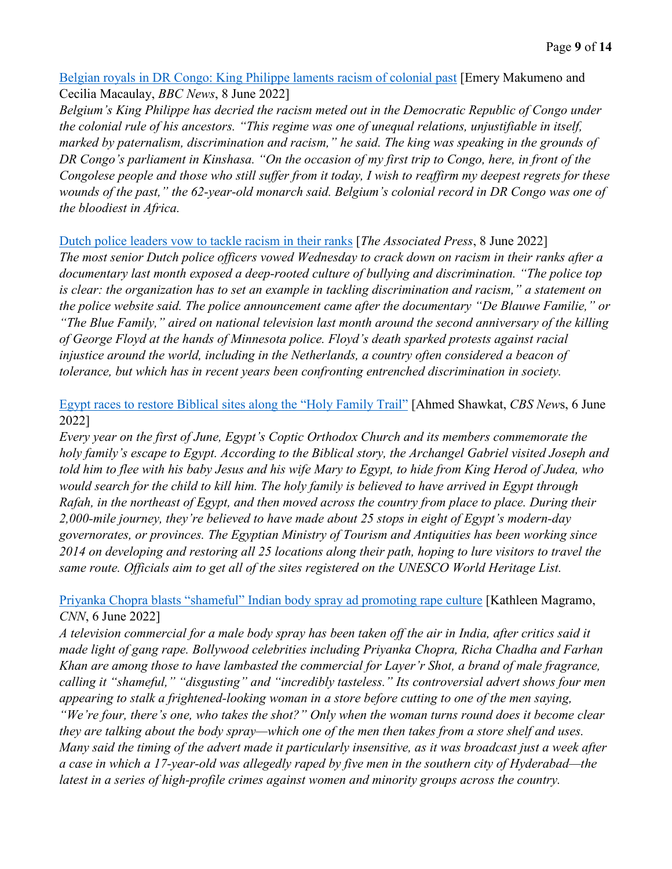[Belgian royals in DR Congo: King Philippe laments racism of colonial past](https://www.bbc.com/news/world-africa-61730651) [Emery Makumeno and Cecilia Macaulay, *BBC News*, 8 June 2022]

*Belgium's King Philippe has decried the racism meted out in the Democratic Republic of Congo under the colonial rule of his ancestors. "This regime was one of unequal relations, unjustifiable in itself, marked by paternalism, discrimination and racism," he said. The king was speaking in the grounds of DR Congo's parliament in Kinshasa. "On the occasion of my first trip to Congo, here, in front of the Congolese people and those who still suffer from it today, I wish to reaffirm my deepest regrets for these wounds of the past," the 62-year-old monarch said. Belgium's colonial record in DR Congo was one of the bloodiest in Africa.* 

#### [Dutch police leaders vow to tackle racism in their ranks](https://apnews.com/article/politics-entertainment-police-netherlands-discrimination-484206da6e61866a4a1981c37ff06599) [*The Associated Press*, 8 June 2022]

*The most senior Dutch police officers vowed Wednesday to crack down on racism in their ranks after a documentary last month exposed a deep-rooted culture of bullying and discrimination. "The police top is clear: the organization has to set an example in tackling discrimination and racism," a statement on the police website said. The police announcement came after the documentary "De Blauwe Familie," or "The Blue Family," aired on national television last month around the second anniversary of the killing of George Floyd at the hands of Minnesota police. Floyd's death sparked protests against racial injustice around the world, including in the Netherlands, a country often considered a beacon of tolerance, but which has in recent years been confronting entrenched discrimination in society.* 

[Egypt races to restore Biblical sites along the "Holy Family Trail"](https://www.cbsnews.com/news/egypt-holy-family-trail-jesus-mary-joseph-flight-to-egypt-tourism/) [Ahmed Shawkat, *CBS New*s, 6 June 2022]

*Every year on the first of June, Egypt's Coptic Orthodox Church and its members commemorate the holy family's escape to Egypt. According to the Biblical story, the Archangel Gabriel visited Joseph and told him to flee with his baby Jesus and his wife Mary to Egypt, to hide from King Herod of Judea, who would search for the child to kill him. The holy family is believed to have arrived in Egypt through Rafah, in the northeast of Egypt, and then moved across the country from place to place. During their 2,000-mile journey, they're believed to have made about 25 stops in eight of Egypt's modern-day governorates, or provinces. The Egyptian Ministry of Tourism and Antiquities has been working since 2014 on developing and restoring all 25 locations along their path, hoping to lure visitors to travel the same route. Officials aim to get all of the sites registered on the UNESCO World Heritage List.*

#### [Priyanka Chopra blasts "shameful" Indian body spray ad promoting rape culture](https://www.cnn.com/2022/06/06/asia/priyanka-chopra-india-body-spray-ad-rape-culture-outrage-intl-hnk/index.html) [Kathleen Magramo, *CNN*, 6 June 2022]

*A television commercial for a male body spray has been taken off the air in India, after critics said it made light of gang rape. Bollywood celebrities including Priyanka Chopra, Richa Chadha and Farhan Khan are among those to have lambasted the commercial for Layer'r Shot, a brand of male fragrance, calling it "shameful," "disgusting" and "incredibly tasteless." Its controversial advert shows four men appearing to stalk a frightened-looking woman in a store before cutting to one of the men saying, "We're four, there's one, who takes the shot?" Only when the woman turns round does it become clear they are talking about the body spray—which one of the men then takes from a store shelf and uses. Many said the timing of the advert made it particularly insensitive, as it was broadcast just a week after a case in which a 17-year-old was allegedly raped by five men in the southern city of Hyderabad—the latest in a series of high-profile crimes against women and minority groups across the country.*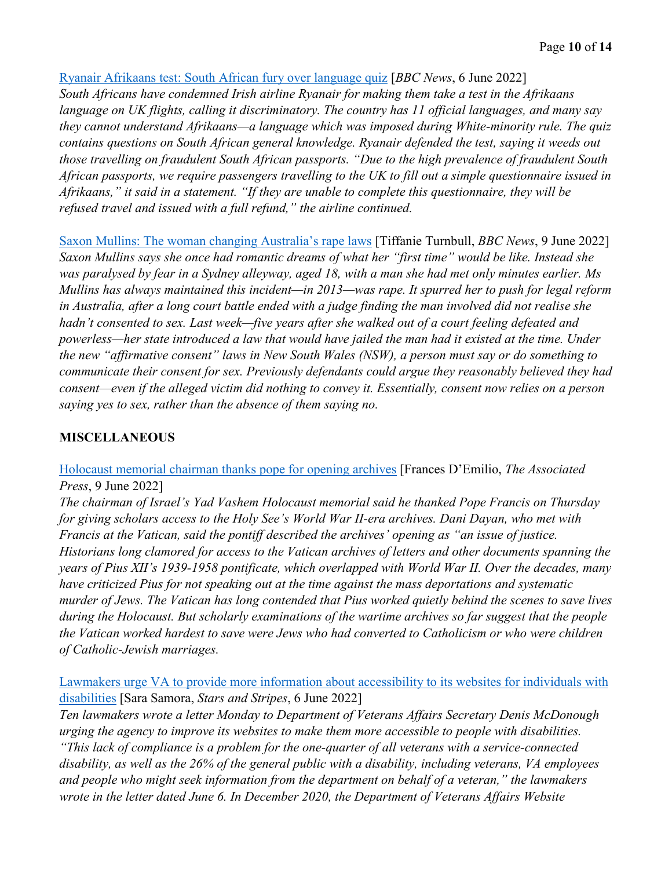#### [Ryanair Afrikaans test: South African fury over language quiz](https://www.bbc.com/news/world-africa-61703174) [*BBC News*, 6 June 2022]

*South Africans have condemned Irish airline Ryanair for making them take a test in the Afrikaans language on UK flights, calling it discriminatory. The country has 11 official languages, and many say they cannot understand Afrikaans—a language which was imposed during White-minority rule. The quiz contains questions on South African general knowledge. Ryanair defended the test, saying it weeds out those travelling on fraudulent South African passports. "Due to the high prevalence of fraudulent South African passports, we require passengers travelling to the UK to fill out a simple questionnaire issued in Afrikaans," it said in a statement. "If they are unable to complete this questionnaire, they will be refused travel and issued with a full refund," the airline continued.* 

[Saxon Mullins: The woman changing Australia's rape laws](https://www.bbc.com/news/world-australia-61714818) [Tiffanie Turnbull, *BBC News*, 9 June 2022] *Saxon Mullins says she once had romantic dreams of what her "first time" would be like. Instead she was paralysed by fear in a Sydney alleyway, aged 18, with a man she had met only minutes earlier. Ms Mullins has always maintained this incident—in 2013—was rape. It spurred her to push for legal reform in Australia, after a long court battle ended with a judge finding the man involved did not realise she hadn't consented to sex. Last week—five years after she walked out of a court feeling defeated and powerless—her state introduced a law that would have jailed the man had it existed at the time. Under the new "affirmative consent" laws in New South Wales (NSW), a person must say or do something to communicate their consent for sex. Previously defendants could argue they reasonably believed they had consent—even if the alleged victim did nothing to convey it. Essentially, consent now relies on a person saying yes to sex, rather than the absence of them saying no.* 

#### **MISCELLANEOUS**

[Holocaust memorial chairman thanks pope for opening archives](https://apnews.com/article/pope-francis-israel-middle-east-vatican-city-abbdea5eb456cb13cfeba154b69cb3b9) [Frances D'Emilio, *The Associated Press*, 9 June 2022]

*The chairman of Israel's Yad Vashem Holocaust memorial said he thanked Pope Francis on Thursday for giving scholars access to the Holy See's World War II-era archives. Dani Dayan, who met with Francis at the Vatican, said the pontiff described the archives' opening as "an issue of justice. Historians long clamored for access to the Vatican archives of letters and other documents spanning the years of Pius XII's 1939-1958 pontificate, which overlapped with World War II. Over the decades, many have criticized Pius for not speaking out at the time against the mass deportations and systematic murder of Jews. The Vatican has long contended that Pius worked quietly behind the scenes to save lives during the Holocaust. But scholarly examinations of the wartime archives so far suggest that the people the Vatican worked hardest to save were Jews who had converted to Catholicism or who were children of Catholic-Jewish marriages.* 

[Lawmakers urge VA to provide more information about accessibility to its websites for individuals with](https://www.stripes.com/veterans/2022-06-06/veterans-affairs-websites-disabilities-6254506.html)  [disabilities](https://www.stripes.com/veterans/2022-06-06/veterans-affairs-websites-disabilities-6254506.html) [Sara Samora, *Stars and Stripes*, 6 June 2022]

*Ten lawmakers wrote a letter Monday to Department of Veterans Affairs Secretary Denis McDonough urging the agency to improve its websites to make them more accessible to people with disabilities. "This lack of compliance is a problem for the one-quarter of all veterans with a service-connected disability, as well as the 26% of the general public with a disability, including veterans, VA employees and people who might seek information from the department on behalf of a veteran," the lawmakers wrote in the letter dated June 6. In December 2020, the Department of Veterans Affairs Website*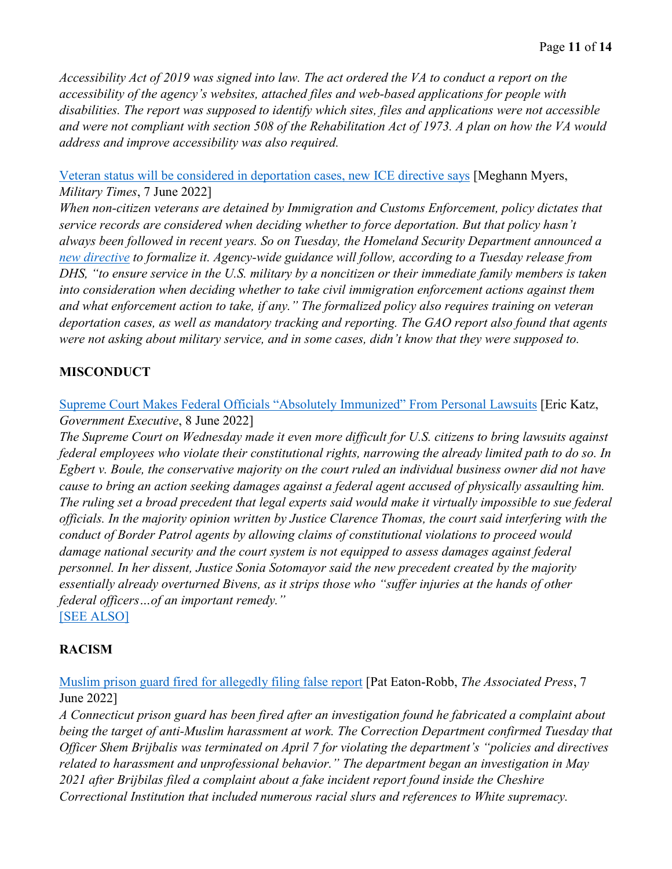*Accessibility Act of 2019 was signed into law. The act ordered the VA to conduct a report on the accessibility of the agency's websites, attached files and web-based applications for people with disabilities. The report was supposed to identify which sites, files and applications were not accessible and were not compliant with section 508 of the Rehabilitation Act of 1973. A plan on how the VA would address and improve accessibility was also required.* 

#### [Veteran status will be considered in deportation cases, new ICE directive says](https://www.militarytimes.com/news/pentagon-congress/2022/06/07/veteran-status-will-be-considered-in-deportation-cases-new-ice-directive-says/) [Meghann Myers, *Military Times*, 7 June 2022]

*When non-citizen veterans are detained by Immigration and Customs Enforcement, policy dictates that service records are considered when deciding whether to force deportation. But that policy hasn't always been followed in recent years. So on Tuesday, the Homeland Security Department announced a [new directive](https://www.ice.gov/doclib/news/releases/2022/10039.2.pdf) to formalize it. Agency-wide guidance will follow, according to a Tuesday release from DHS, "to ensure service in the U.S. military by a noncitizen or their immediate family members is taken into consideration when deciding whether to take civil immigration enforcement actions against them and what enforcement action to take, if any." The formalized policy also requires training on veteran deportation cases, as well as mandatory tracking and reporting. The GAO report also found that agents were not asking about military service, and in some cases, didn't know that they were supposed to.* 

## **MISCONDUCT**

#### [Supreme Court Makes Federal Officials "Absolutely Immunized" From Personal Lawsuits](https://www.govexec.com/workforce/2022/06/supreme-court-makes-federal-officials-absolutely-immunized-personal-lawsuits/367934/) [Eric Katz, *Government Executive*, 8 June 2022]

*The Supreme Court on Wednesday made it even more difficult for U.S. citizens to bring lawsuits against federal employees who violate their constitutional rights, narrowing the already limited path to do so. In Egbert v. Boule, the conservative majority on the court ruled an individual business owner did not have cause to bring an action seeking damages against a federal agent accused of physically assaulting him. The ruling set a broad precedent that legal experts said would make it virtually impossible to sue federal officials. In the majority opinion written by Justice Clarence Thomas, the court said interfering with the conduct of Border Patrol agents by allowing claims of constitutional violations to proceed would damage national security and the court system is not equipped to assess damages against federal personnel. In her dissent, Justice Sonia Sotomayor said the new precedent created by the majority essentially already overturned Bivens, as it strips those who "suffer injuries at the hands of other federal officers…of an important remedy."*  [\[SEE ALSO\]](https://www.govexec.com/oversight/2022/06/new-law-will-make-it-harder-escape-investigation-leaving-federal-service/367881/)

## **RACISM**

### [Muslim prison guard fired for allegedly filing false report](https://apnews.com/article/connecticut-race-and-ethnicity-racial-injustice-business-religion-0ddbd146edd88f4f36c49324cc6b0561) [Pat Eaton-Robb, *The Associated Press*, 7 June 2022]

*A Connecticut prison guard has been fired after an investigation found he fabricated a complaint about being the target of anti-Muslim harassment at work. The Correction Department confirmed Tuesday that Officer Shem Brijbalis was terminated on April 7 for violating the department's "policies and directives related to harassment and unprofessional behavior." The department began an investigation in May 2021 after Brijbilas filed a complaint about a fake incident report found inside the Cheshire Correctional Institution that included numerous racial slurs and references to White supremacy.*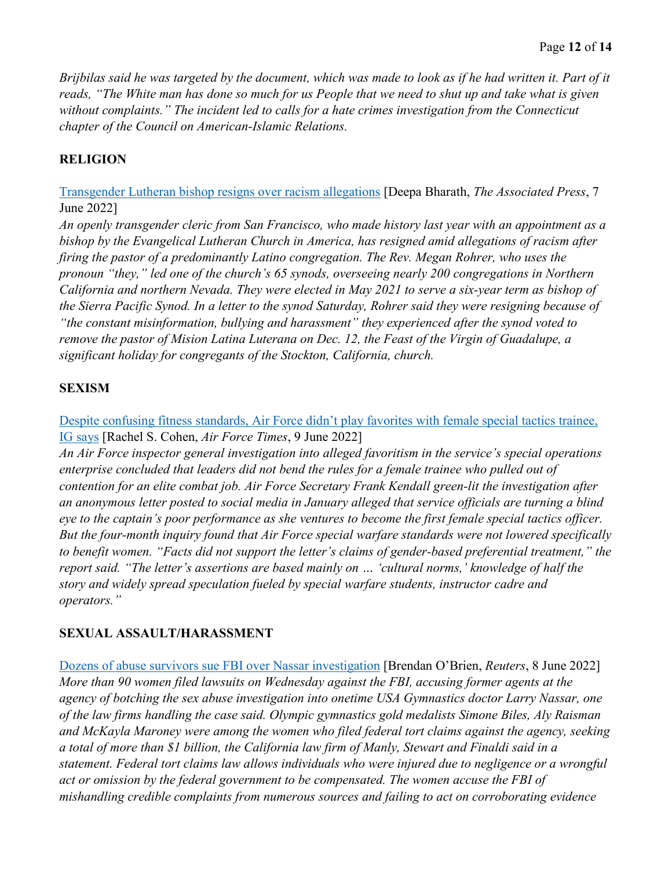*Brijbilas said he was targeted by the document, which was made to look as if he had written it. Part of it reads, "The White man has done so much for us People that we need to shut up and take what is given without complaints." The incident led to calls for a hate crimes investigation from the Connecticut chapter of the Council on American-Islamic Relations.* 

#### **RELIGION**

[Transgender Lutheran bishop resigns over racism allegations](https://apnews.com/article/california-stockton-san-francisco-religion-business-f010dc5201ea70a942d40dd7739eaef4) [Deepa Bharath, *The Associated Press*, 7 June 2022]

*An openly transgender cleric from San Francisco, who made history last year with an appointment as a bishop by the Evangelical Lutheran Church in America, has resigned amid allegations of racism after firing the pastor of a predominantly Latino congregation. The Rev. Megan Rohrer, who uses the pronoun "they," led one of the church's 65 synods, overseeing nearly 200 congregations in Northern California and northern Nevada. They were elected in May 2021 to serve a six-year term as bishop of the Sierra Pacific Synod. In a letter to the synod Saturday, Rohrer said they were resigning because of "the constant misinformation, bullying and harassment" they experienced after the synod voted to remove the pastor of Mision Latina Luterana on Dec. 12, the Feast of the Virgin of Guadalupe, a significant holiday for congregants of the Stockton, California, church.* 

#### **SEXISM**

[Despite confusing fitness standards, Air Force didn't play favorites with female special tactics trainee,](https://www.airforcetimes.com/news/your-air-force/2022/06/09/despite-confusing-fitness-standards-air-force-didnt-play-favorites-with-female-special-tactics-trainee-ig-says/)  [IG says](https://www.airforcetimes.com/news/your-air-force/2022/06/09/despite-confusing-fitness-standards-air-force-didnt-play-favorites-with-female-special-tactics-trainee-ig-says/) [Rachel S. Cohen, *Air Force Times*, 9 June 2022]

*An Air Force inspector general investigation into alleged favoritism in the service's special operations enterprise concluded that leaders did not bend the rules for a female trainee who pulled out of contention for an elite combat job. Air Force Secretary Frank Kendall green-lit the investigation after an anonymous letter posted to social media in January alleged that service officials are turning a blind eye to the captain's poor performance as she ventures to become the first female special tactics officer. But the four-month inquiry found that Air Force special warfare standards were not lowered specifically to benefit women. "Facts did not support the letter's claims of gender-based preferential treatment," the report said. "The letter's assertions are based mainly on … 'cultural norms,' knowledge of half the story and widely spread speculation fueled by special warfare students, instructor cadre and operators."* 

#### **SEXUAL ASSAULT/HARASSMENT**

[Dozens of abuse survivors sue FBI over Nassar investigation](https://www.reuters.com/world/us/dozens-abuse-survivors-plan-sue-fbi-over-nassar-investigation-new-york-times-2022-06-08/) [Brendan O'Brien, *Reuters*, 8 June 2022] *More than 90 women filed lawsuits on Wednesday against the FBI, accusing former agents at the agency of botching the sex abuse investigation into onetime USA Gymnastics doctor Larry Nassar, one of the law firms handling the case said. Olympic gymnastics gold medalists Simone Biles, Aly Raisman and McKayla Maroney were among the women who filed federal tort claims against the agency, seeking a total of more than \$1 billion, the California law firm of Manly, Stewart and Finaldi said in a statement. Federal tort claims law allows individuals who were injured due to negligence or a wrongful act or omission by the federal government to be compensated. The women accuse the FBI of mishandling credible complaints from numerous sources and failing to act on corroborating evidence*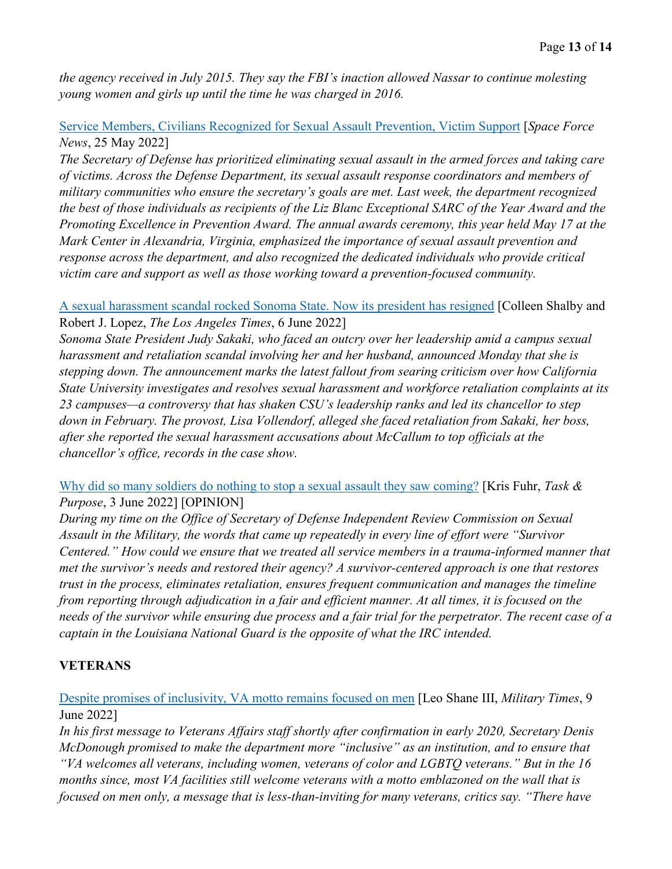*the agency received in July 2015. They say the FBI's inaction allowed Nassar to continue molesting young women and girls up until the time he was charged in 2016.* 

#### [Service Members, Civilians Recognized for Sexual Assault Prevention, Victim Support](https://www.spaceforce.mil/News/Article/3045412/service-members-civilians-recognized-for-sexual-assault-prevention-victim-suppo/) [*Space Force News*, 25 May 2022]

*The Secretary of Defense has prioritized eliminating sexual assault in the armed forces and taking care of victims. Across the Defense Department, its sexual assault response coordinators and members of military communities who ensure the secretary's goals are met. Last week, the department recognized the best of those individuals as recipients of the Liz Blanc Exceptional SARC of the Year Award and the Promoting Excellence in Prevention Award. The annual awards ceremony, this year held May 17 at the Mark Center in Alexandria, Virginia, emphasized the importance of sexual assault prevention and response across the department, and also recognized the dedicated individuals who provide critical victim care and support as well as those working toward a prevention-focused community.* 

[A sexual harassment scandal rocked Sonoma State. Now its president has resigned](https://www.latimes.com/california/story/2022-06-06/sonoma-state-president-judy-sakaki-steps-down) [Colleen Shalby and Robert J. Lopez, *The Los Angeles Times*, 6 June 2022]

*Sonoma State President Judy Sakaki, who faced an outcry over her leadership amid a campus sexual harassment and retaliation scandal involving her and her husband, announced Monday that she is stepping down. The announcement marks the latest fallout from searing criticism over how California State University investigates and resolves sexual harassment and workforce retaliation complaints at its 23 campuses—a controversy that has shaken CSU's leadership ranks and led its chancellor to step down in February. The provost, Lisa Vollendorf, alleged she faced retaliation from Sakaki, her boss, after she reported the sexual harassment accusations about McCallum to top officials at the chancellor's office, records in the case show.* 

[Why did so many soldiers do nothing to stop a sexual assault they saw coming?](https://taskandpurpose.com/opinion/us-army-failure-to-address-sexual-sexual-assault/) [Kris Fuhr, *Task & Purpose*, 3 June 2022] [OPINION]

*During my time on the Office of Secretary of Defense Independent Review Commission on Sexual Assault in the Military, the words that came up repeatedly in every line of effort were "Survivor Centered." How could we ensure that we treated all service members in a trauma-informed manner that met the survivor's needs and restored their agency? A survivor-centered approach is one that restores trust in the process, eliminates retaliation, ensures frequent communication and manages the timeline from reporting through adjudication in a fair and efficient manner. At all times, it is focused on the needs of the survivor while ensuring due process and a fair trial for the perpetrator. The recent case of a captain in the Louisiana National Guard is the opposite of what the IRC intended.* 

#### **VETERANS**

[Despite promises of inclusivity, VA motto remains focused on men](https://www.militarytimes.com/veterans/2022/06/09/despite-promises-of-inclusivity-va-motto-remains-focused-on-men/) [Leo Shane III, *Military Times*, 9 June 2022]

*In his first message to Veterans Affairs staff shortly after confirmation in early 2020, Secretary Denis McDonough promised to make the department more "inclusive" as an institution, and to ensure that "VA welcomes all veterans, including women, veterans of color and LGBTQ veterans." But in the 16 months since, most VA facilities still welcome veterans with a motto emblazoned on the wall that is focused on men only, a message that is less-than-inviting for many veterans, critics say. "There have*